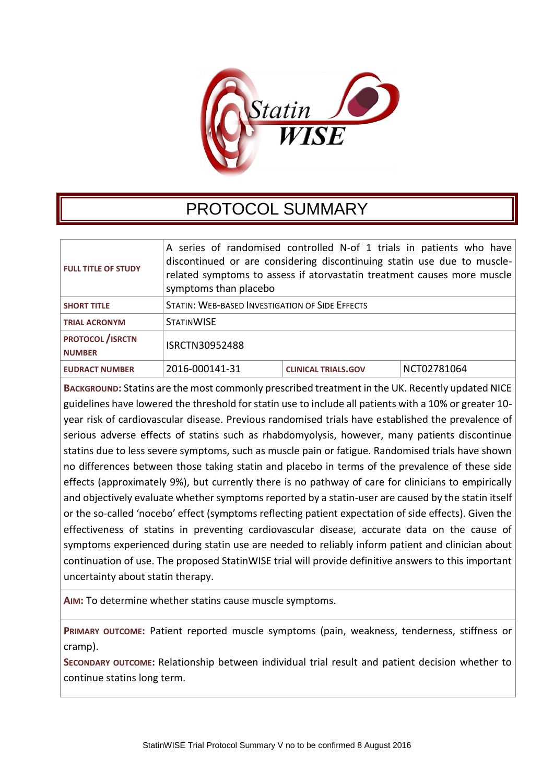

## PROTOCOL SUMMARY

| <b>FULL TITLE OF STUDY</b>                | A series of randomised controlled N-of 1 trials in patients who have<br>discontinued or are considering discontinuing statin use due to muscle-<br>related symptoms to assess if atorvastatin treatment causes more muscle<br>symptoms than placebo |                            |             |
|-------------------------------------------|-----------------------------------------------------------------------------------------------------------------------------------------------------------------------------------------------------------------------------------------------------|----------------------------|-------------|
| <b>SHORT TITLE</b>                        | <b>STATIN: WEB-BASED INVESTIGATION OF SIDE EFFECTS</b>                                                                                                                                                                                              |                            |             |
| <b>TRIAL ACRONYM</b>                      | <b>STATINWISE</b>                                                                                                                                                                                                                                   |                            |             |
| <b>PROTOCOL</b> / ISRCTN<br><b>NUMBER</b> | ISRCTN30952488                                                                                                                                                                                                                                      |                            |             |
| <b>EUDRACT NUMBER</b>                     | 2016-000141-31                                                                                                                                                                                                                                      | <b>CLINICAL TRIALS.GOV</b> | NCT02781064 |

**BACKGROUND:** Statins are the most commonly prescribed treatment in the UK. Recently updated NICE guidelines have lowered the threshold for statin use to include all patients with a 10% or greater 10 year risk of cardiovascular disease. Previous randomised trials have established the prevalence of serious adverse effects of statins such as rhabdomyolysis, however, many patients discontinue statins due to less severe symptoms, such as muscle pain or fatigue. Randomised trials have shown no differences between those taking statin and placebo in terms of the prevalence of these side effects (approximately 9%), but currently there is no pathway of care for clinicians to empirically and objectively evaluate whether symptoms reported by a statin-user are caused by the statin itself or the so-called 'nocebo' effect (symptoms reflecting patient expectation of side effects). Given the effectiveness of statins in preventing cardiovascular disease, accurate data on the cause of symptoms experienced during statin use are needed to reliably inform patient and clinician about continuation of use. The proposed StatinWISE trial will provide definitive answers to this important uncertainty about statin therapy.

**AIM:** To determine whether statins cause muscle symptoms.

**PRIMARY OUTCOME:** Patient reported muscle symptoms (pain, weakness, tenderness, stiffness or cramp).

**SECONDARY OUTCOME:** Relationship between individual trial result and patient decision whether to continue statins long term.